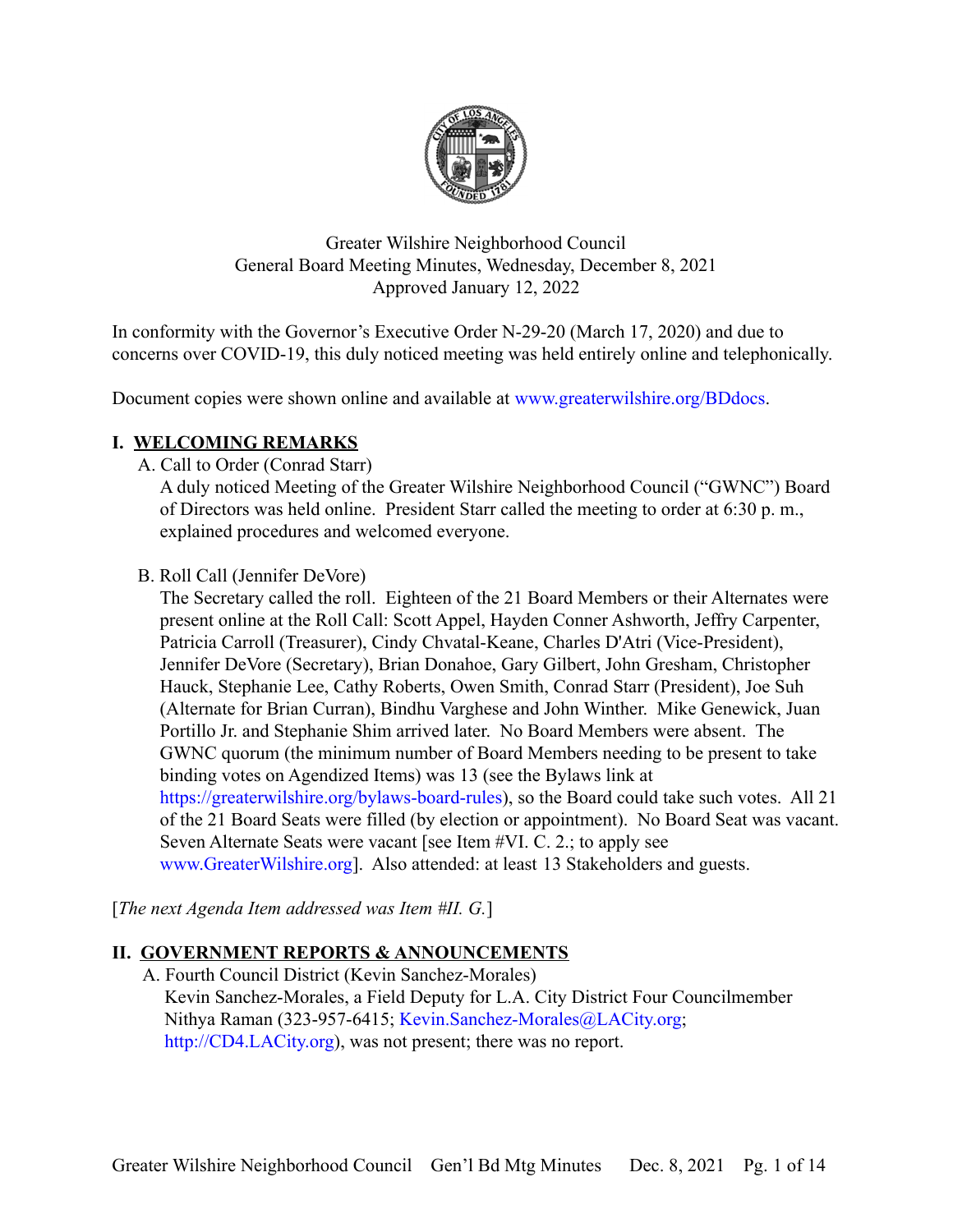

Greater Wilshire Neighborhood Council General Board Meeting Minutes, Wednesday, December 8, 2021 Approved January 12, 2022

In conformity with the Governor's Executive Order N-29-20 (March 17, 2020) and due to concerns over COVID-19, this duly noticed meeting was held entirely online and telephonically.

Document copies were shown online and available at [www.greaterwilshire.org/BDdocs.](http://www.greaterwilshire.org/BDdocs)

## **I. WELCOMING REMARKS**

A. Call to Order (Conrad Starr)

A duly noticed Meeting of the Greater Wilshire Neighborhood Council ("GWNC") Board of Directors was held online. President Starr called the meeting to order at 6:30 p. m., explained procedures and welcomed everyone.

B. Roll Call (Jennifer DeVore)

The Secretary called the roll. Eighteen of the 21 Board Members or their Alternates were present online at the Roll Call: Scott Appel, Hayden Conner Ashworth, Jeffry Carpenter, Patricia Carroll (Treasurer), Cindy Chvatal-Keane, Charles D'Atri (Vice-President), Jennifer DeVore (Secretary), Brian Donahoe, Gary Gilbert, John Gresham, Christopher Hauck, Stephanie Lee, Cathy Roberts, Owen Smith, Conrad Starr (President), Joe Suh (Alternate for Brian Curran), Bindhu Varghese and John Winther. Mike Genewick, Juan Portillo Jr. and Stephanie Shim arrived later. No Board Members were absent. The GWNC quorum (the minimum number of Board Members needing to be present to take binding votes on Agendized Items) was 13 (see the Bylaws link at [https://greaterwilshire.org/bylaws-board-rules\)](https://greaterwilshire.org/bylaws-board-rules), so the Board could take such votes. All 21 of the 21 Board Seats were filled (by election or appointment). No Board Seat was vacant. Seven Alternate Seats were vacant [see Item #VI. C. 2.; to apply see [www.GreaterWilshire.org\]](http://www.greaterwilshire.org). Also attended: at least 13 Stakeholders and guests.

[*The next Agenda Item addressed was Item #II. G.*]

# **II. GOVERNMENT REPORTS & ANNOUNCEMENTS**

A. Fourth Council District (Kevin Sanchez-Morales) Kevin Sanchez-Morales, a Field Deputy for L.A. City District Four Councilmember Nithya Raman (323-957-6415; [Kevin.Sanchez-Morales@LACity.org](mailto:Kevin.Sanchez-Morales@LACity.org); [http://CD4.LACity.org\)](http://cd4.lacity.org), was not present; there was no report.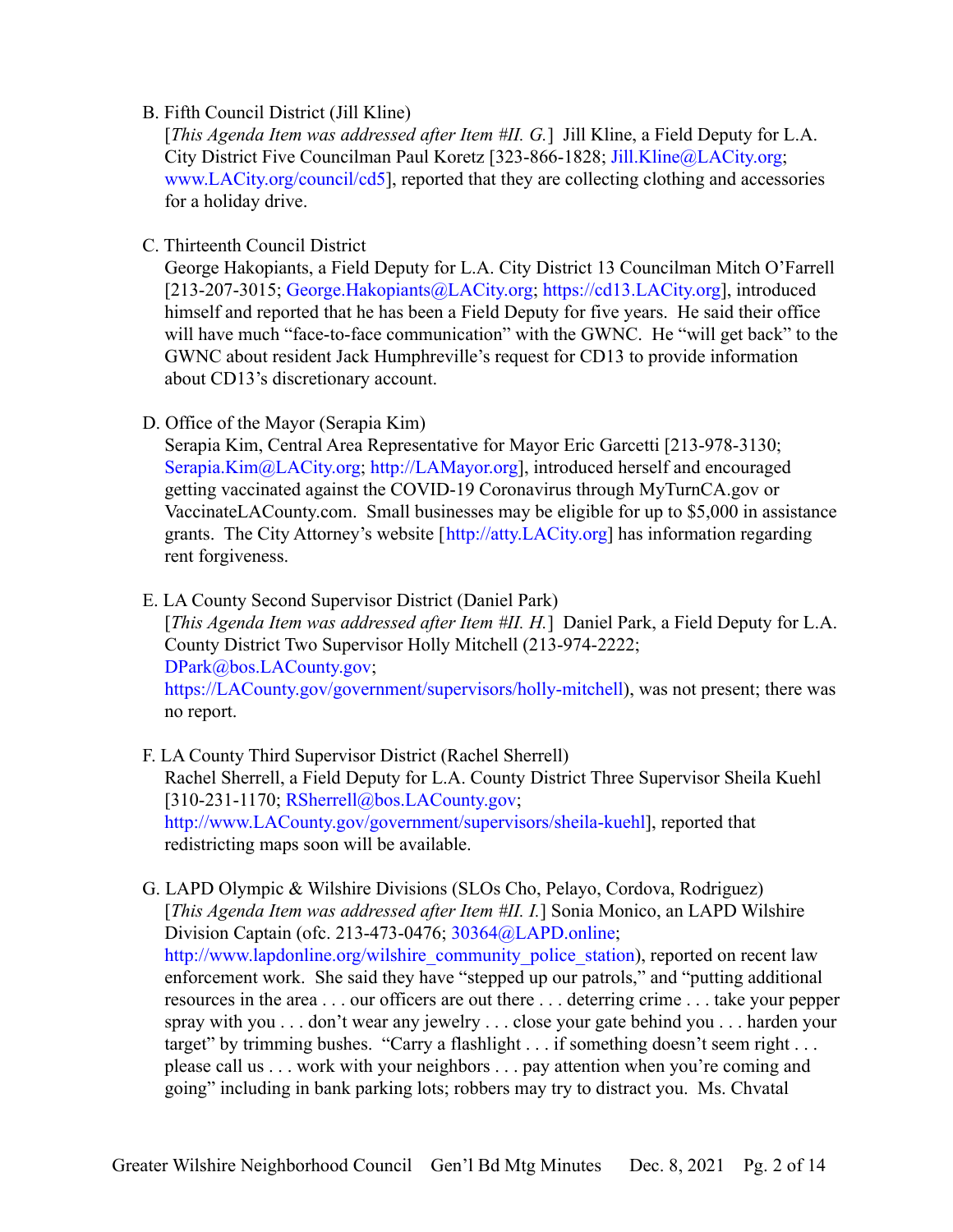#### B. Fifth Council District (Jill Kline)

[*This Agenda Item was addressed after Item #II. G.*] Jill Kline, a Field Deputy for L.A. City District Five Councilman Paul Koretz [323-866-1828; [Jill.Kline@LACity.org;](mailto:Jill.Kline@LACity.org) [www.LACity.org/council/cd5\]](http://www.lacity.org/council/cd5), reported that they are collecting clothing and accessories for a holiday drive.

C. Thirteenth Council District

George Hakopiants, a Field Deputy for L.A. City District 13 Councilman Mitch O'Farrell [213-207-3015; [George.Hakopiants@LACity.org;](mailto:George.Hakopiants@LACity.org) [https://cd13.LACity.org](https://cd13.lacity.org)], introduced himself and reported that he has been a Field Deputy for five years. He said their office will have much "face-to-face communication" with the GWNC. He "will get back" to the GWNC about resident Jack Humphreville's request for CD13 to provide information about CD13's discretionary account.

D. Office of the Mayor (Serapia Kim)

Serapia Kim, Central Area Representative for Mayor Eric Garcetti [213-978-3130; [Serapia.Kim@LACity.org;](mailto: Serapia.Kim@LACity.org) [http://LAMayor.org\]](http://lamayor.org), introduced herself and encouraged getting vaccinated against the COVID-19 Coronavirus through MyTurnCA.gov or VaccinateLACounty.com. Small businesses may be eligible for up to \$5,000 in assistance grants. The City Attorney's website [[http://atty.LACity.org](http://atty.lacity.org)] has information regarding rent forgiveness.

E. LA County Second Supervisor District (Daniel Park)

[*This Agenda Item was addressed after Item #II. H.*] Daniel Park, a Field Deputy for L.A. County District Two Supervisor Holly Mitchell (213-974-2222; [DPark@bos.LACounty.gov;](mailto:DPark@bos.LACounty.gov)

[https://LACounty.gov/government/supervisors/holly-mitchell\)](https://lacounty.gov/government/supervisors/holly-mitchell), was not present; there was no report.

F. LA County Third Supervisor District (Rachel Sherrell) Rachel Sherrell, a Field Deputy for L.A. County District Three Supervisor Sheila Kuehl  $[310-231-1170; RSherrell@bos.LACounty.gov;$  $[310-231-1170; RSherrell@bos.LACounty.gov;$ [http://www.LACounty.gov/government/supervisors/sheila-kuehl\]](http://www.lacounty.gov/government/supervisors/sheila-kuehl), reported that redistricting maps soon will be available.

G. LAPD Olympic & Wilshire Divisions (SLOs Cho, Pelayo, Cordova, Rodriguez) [*This Agenda Item was addressed after Item #II. I.*] Sonia Monico, an LAPD Wilshire Division Captain (ofc. 213-473-0476; [30364@LAPD.online](mailto:30364@LAPD.online); [http://www.lapdonline.org/wilshire\\_community\\_police\\_station](http://www.lapdonline.org/wilshire_community_police_station)), reported on recent law enforcement work. She said they have "stepped up our patrols," and "putting additional resources in the area . . . our officers are out there . . . deterring crime . . . take your pepper spray with you . . . don't wear any jewelry . . . close your gate behind you . . . harden your target" by trimming bushes. "Carry a flashlight . . . if something doesn't seem right . . . please call us . . . work with your neighbors . . . pay attention when you're coming and going" including in bank parking lots; robbers may try to distract you. Ms. Chvatal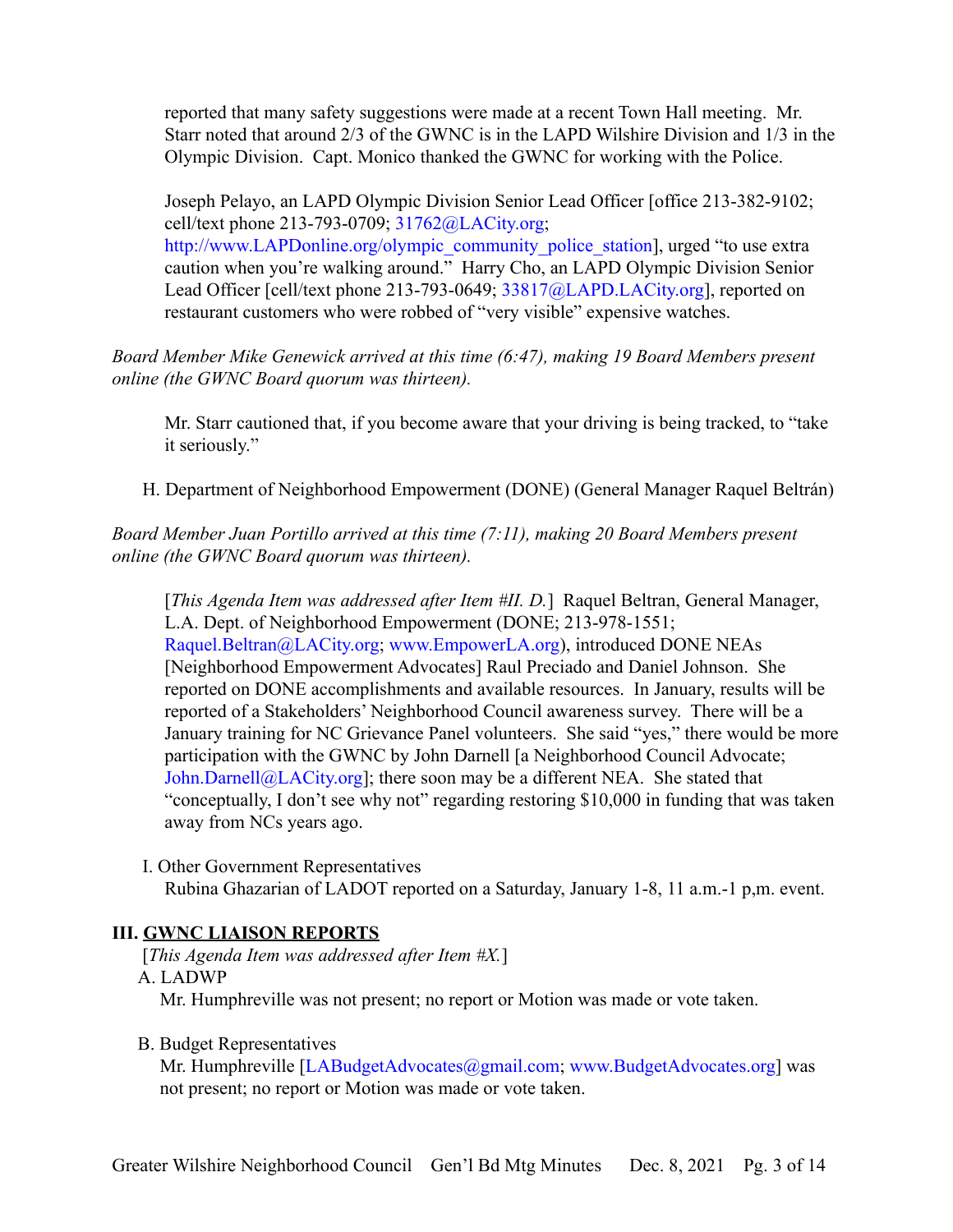reported that many safety suggestions were made at a recent Town Hall meeting. Mr. Starr noted that around 2/3 of the GWNC is in the LAPD Wilshire Division and 1/3 in the Olympic Division. Capt. Monico thanked the GWNC for working with the Police.

Joseph Pelayo, an LAPD Olympic Division Senior Lead Officer [office 213-382-9102; cell/text phone 213-793-0709; [31762@LACity.org;](mailto:31762@LACity.org) [http://www.LAPDonline.org/olympic\\_community\\_police\\_station](http://www.lapdonline.org/olympic_community_police_station)], urged "to use extra caution when you're walking around." Harry Cho, an LAPD Olympic Division Senior Lead Officer [cell/text phone 213-793-0649; [33817@LAPD.LACity.org\]](mailto:33817@LAPD.LACity.org), reported on restaurant customers who were robbed of "very visible" expensive watches.

*Board Member Mike Genewick arrived at this time (6:47), making 19 Board Members present online (the GWNC Board quorum was thirteen).*

Mr. Starr cautioned that, if you become aware that your driving is being tracked, to "take it seriously."

H. Department of Neighborhood Empowerment (DONE) (General Manager Raquel Beltrán)

*Board Member Juan Portillo arrived at this time (7:11), making 20 Board Members present online (the GWNC Board quorum was thirteen).*

[*This Agenda Item was addressed after Item #II. D.*] Raquel Beltran, General Manager, L.A. Dept. of Neighborhood Empowerment (DONE; 213-978-1551; [Raquel.Beltran@LACity.org;](mailto:Raquel.Beltran@LACity.org) [www.EmpowerLA.org\)](http://www.empowerla.org), introduced DONE NEAs [Neighborhood Empowerment Advocates] Raul Preciado and Daniel Johnson. She reported on DONE accomplishments and available resources. In January, results will be reported of a Stakeholders' Neighborhood Council awareness survey. There will be a January training for NC Grievance Panel volunteers. She said "yes," there would be more participation with the GWNC by John Darnell [a Neighborhood Council Advocate; [John.Darnell@LACity.org](mailto:John.Darnell@LACity.org)]; there soon may be a different NEA. She stated that "conceptually, I don't see why not" regarding restoring \$10,000 in funding that was taken away from NCs years ago.

I. Other Government Representatives Rubina Ghazarian of LADOT reported on a Saturday, January 1-8, 11 a.m.-1 p,m. event.

# **III. GWNC LIAISON REPORTS**

[*This Agenda Item was addressed after Item #X.*]

## A. LADWP

Mr. Humphreville was not present; no report or Motion was made or vote taken.

## B. Budget Representatives

Mr. Humphreville [\[LABudgetAdvocates@gmail.com;](mailto:LABudgetAdvocates@gmail.com) [www.BudgetAdvocates.org](http://www.budgetadvocates.org)] was not present; no report or Motion was made or vote taken.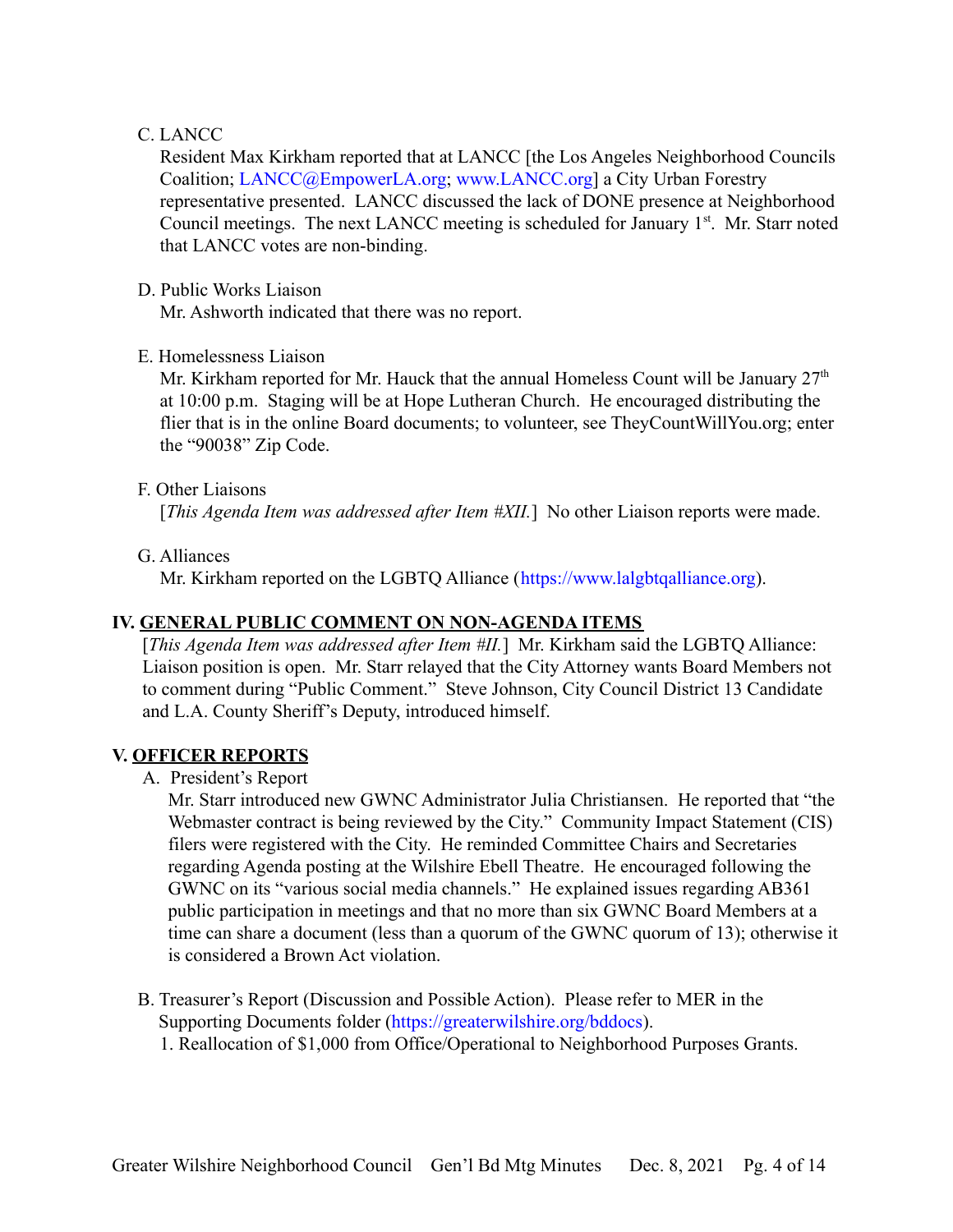### C. LANCC

Resident Max Kirkham reported that at LANCC [the Los Angeles Neighborhood Councils Coalition; [LANCC@EmpowerLA.org;](mailto:LANCC@EmpowerLA.org) [www.LANCC.org\]](http://www.lancc.org) a City Urban Forestry representative presented. LANCC discussed the lack of DONE presence at Neighborhood Council meetings. The next LANCC meeting is scheduled for January  $1<sup>st</sup>$ . Mr. Starr noted that LANCC votes are non-binding.

#### D. Public Works Liaison

Mr. Ashworth indicated that there was no report.

#### E. Homelessness Liaison

Mr. Kirkham reported for Mr. Hauck that the annual Homeless Count will be January  $27<sup>th</sup>$ at 10:00 p.m. Staging will be at Hope Lutheran Church. He encouraged distributing the flier that is in the online Board documents; to volunteer, see TheyCountWillYou.org; enter the "90038" Zip Code.

#### F. Other Liaisons

[*This Agenda Item was addressed after Item #XII*.] No other Liaison reports were made.

G. Alliances

Mr. Kirkham reported on the LGBTQ Alliance ([https://www.lalgbtqalliance.org\)](https://www.lalgbtqalliance.org).

## **IV. GENERAL PUBLIC COMMENT ON NON-AGENDA ITEMS**

[*This Agenda Item was addressed after Item #II.*] Mr. Kirkham said the LGBTQ Alliance: Liaison position is open. Mr. Starr relayed that the City Attorney wants Board Members not to comment during "Public Comment." Steve Johnson, City Council District 13 Candidate and L.A. County Sheriff's Deputy, introduced himself.

## **V. OFFICER REPORTS**

A. President's Report

Mr. Starr introduced new GWNC Administrator Julia Christiansen. He reported that "the Webmaster contract is being reviewed by the City." Community Impact Statement (CIS) filers were registered with the City. He reminded Committee Chairs and Secretaries regarding Agenda posting at the Wilshire Ebell Theatre. He encouraged following the GWNC on its "various social media channels." He explained issues regarding AB361 public participation in meetings and that no more than six GWNC Board Members at a time can share a document (less than a quorum of the GWNC quorum of 13); otherwise it is considered a Brown Act violation.

B. Treasurer's Report (Discussion and Possible Action). Please refer to MER in the Supporting Documents folder (<https://greaterwilshire.org/bddocs>). 1. Reallocation of \$1,000 from Office/Operational to Neighborhood Purposes Grants.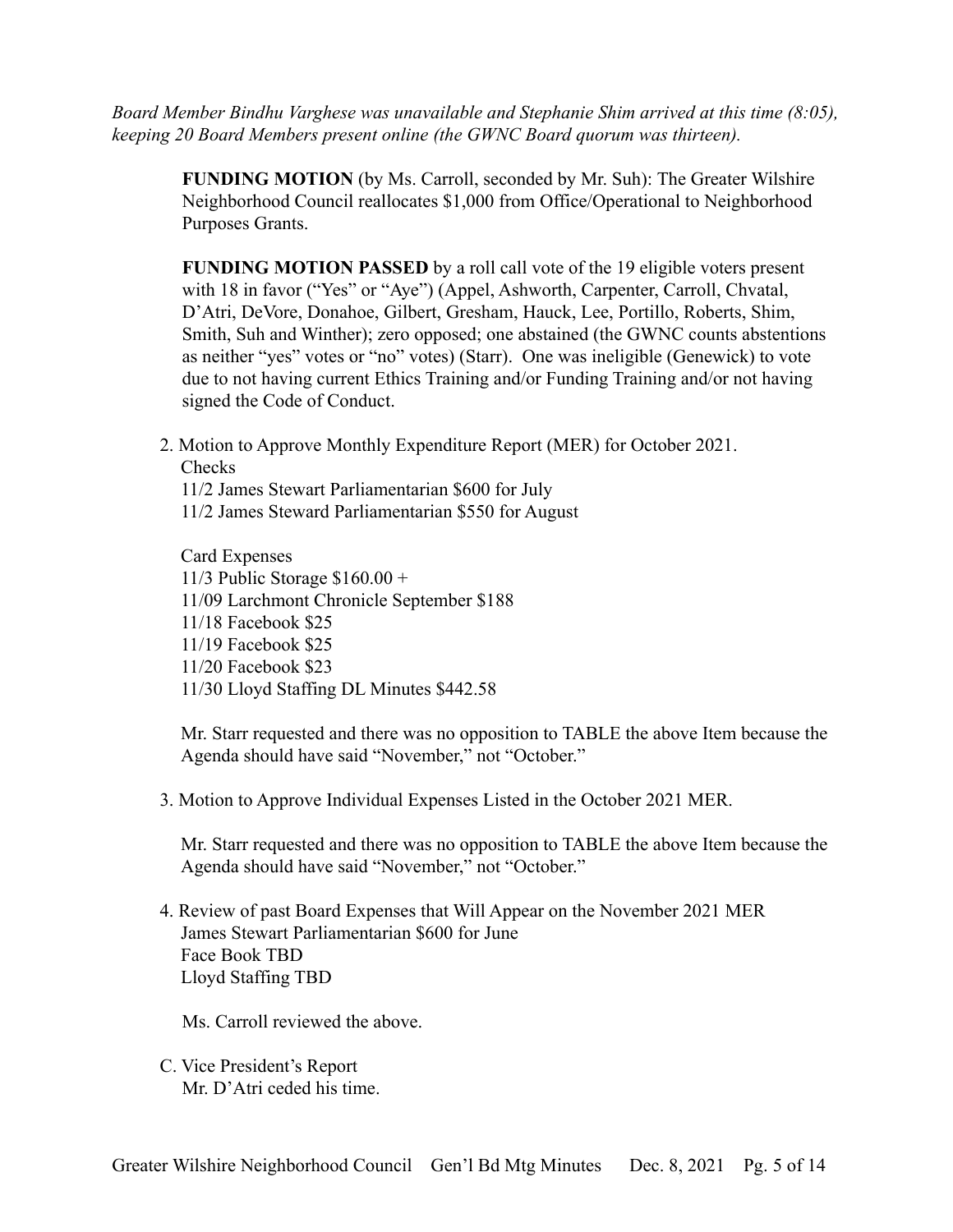*Board Member Bindhu Varghese was unavailable and Stephanie Shim arrived at this time (8:05), keeping 20 Board Members present online (the GWNC Board quorum was thirteen).*

**FUNDING MOTION** (by Ms. Carroll, seconded by Mr. Suh): The Greater Wilshire Neighborhood Council reallocates \$1,000 from Office/Operational to Neighborhood Purposes Grants.

**FUNDING MOTION PASSED** by a roll call vote of the 19 eligible voters present with 18 in favor ("Yes" or "Aye") (Appel, Ashworth, Carpenter, Carroll, Chvatal, D'Atri, DeVore, Donahoe, Gilbert, Gresham, Hauck, Lee, Portillo, Roberts, Shim, Smith, Suh and Winther); zero opposed; one abstained (the GWNC counts abstentions as neither "yes" votes or "no" votes) (Starr). One was ineligible (Genewick) to vote due to not having current Ethics Training and/or Funding Training and/or not having signed the Code of Conduct.

2. Motion to Approve Monthly Expenditure Report (MER) for October 2021. Checks

11/2 James Stewart Parliamentarian \$600 for July 11/2 James Steward Parliamentarian \$550 for August

Card Expenses 11/3 Public Storage \$160.00 + 11/09 Larchmont Chronicle September \$188 11/18 Facebook \$25 11/19 Facebook \$25 11/20 Facebook \$23 11/30 Lloyd Staffing DL Minutes \$442.58

Mr. Starr requested and there was no opposition to TABLE the above Item because the Agenda should have said "November," not "October."

3. Motion to Approve Individual Expenses Listed in the October 2021 MER.

Mr. Starr requested and there was no opposition to TABLE the above Item because the Agenda should have said "November," not "October."

4. Review of past Board Expenses that Will Appear on the November 2021 MER James Stewart Parliamentarian \$600 for June Face Book TBD Lloyd Staffing TBD

Ms. Carroll reviewed the above.

C. Vice President's Report Mr. D'Atri ceded his time.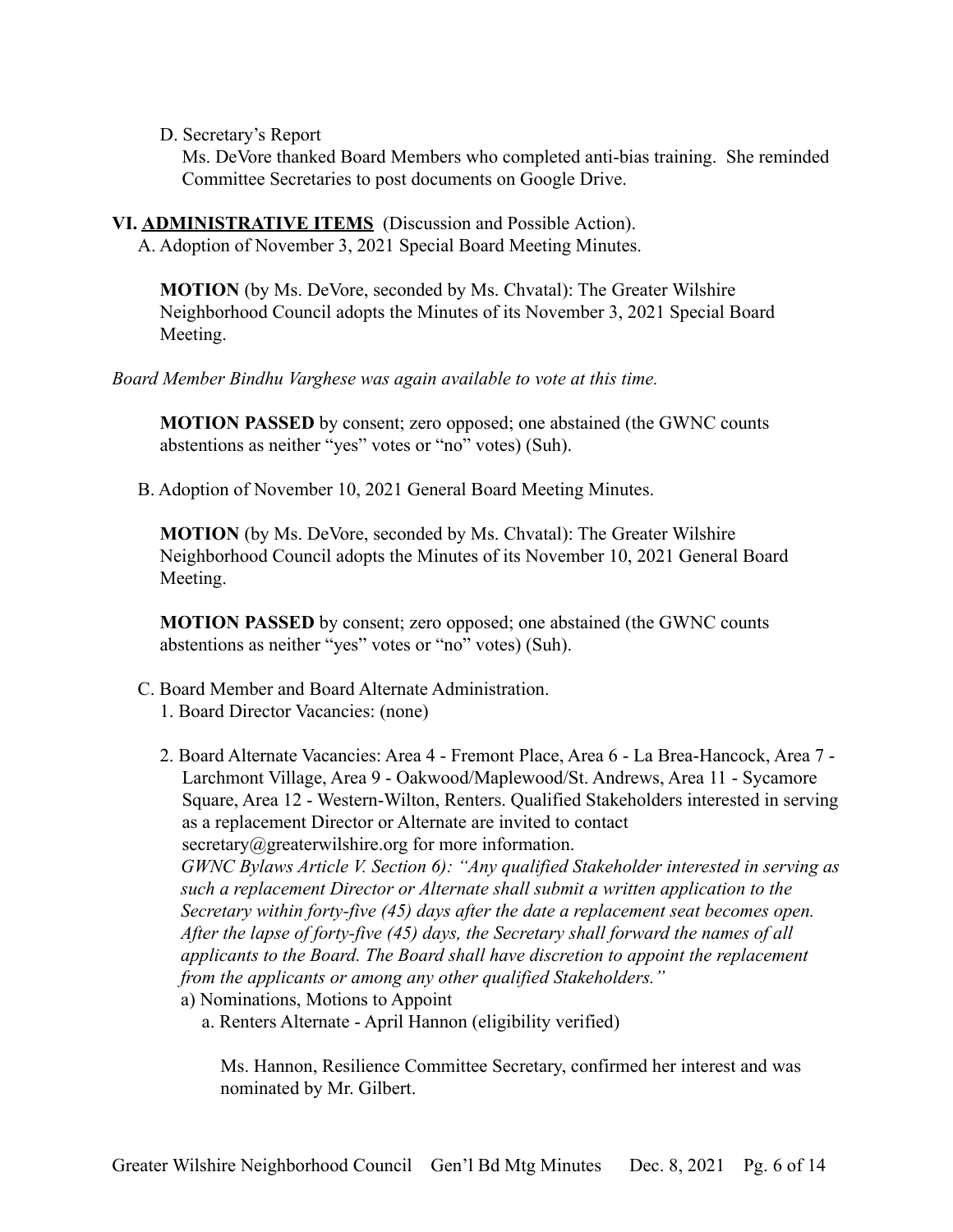D. Secretary's Report

Ms. DeVore thanked Board Members who completed anti-bias training. She reminded Committee Secretaries to post documents on Google Drive.

**VI. ADMINISTRATIVE ITEMS** (Discussion and Possible Action).

A. Adoption of November 3, 2021 Special Board Meeting Minutes.

**MOTION** (by Ms. DeVore, seconded by Ms. Chvatal): The Greater Wilshire Neighborhood Council adopts the Minutes of its November 3, 2021 Special Board Meeting.

*Board Member Bindhu Varghese was again available to vote at this time.*

**MOTION PASSED** by consent; zero opposed; one abstained (the GWNC counts abstentions as neither "yes" votes or "no" votes) (Suh).

B. Adoption of November 10, 2021 General Board Meeting Minutes.

**MOTION** (by Ms. DeVore, seconded by Ms. Chvatal): The Greater Wilshire Neighborhood Council adopts the Minutes of its November 10, 2021 General Board Meeting.

**MOTION PASSED** by consent; zero opposed; one abstained (the GWNC counts abstentions as neither "yes" votes or "no" votes) (Suh).

- C. Board Member and Board Alternate Administration.
	- 1. Board Director Vacancies: (none)
	- 2. Board Alternate Vacancies: Area 4 Fremont Place, Area 6 La Brea-Hancock, Area 7 Larchmont Village, Area 9 - Oakwood/Maplewood/St. Andrews, Area 11 - Sycamore Square, Area 12 - Western-Wilton, Renters. Qualified Stakeholders interested in serving as a replacement Director or Alternate are invited to contact secretary@greaterwilshire.org for more information.

*GWNC Bylaws Article V. Section 6): "Any qualified Stakeholder interested in serving as such a replacement Director or Alternate shall submit a written application to the Secretary within forty-five (45) days after the date a replacement seat becomes open. After the lapse of forty-five (45) days, the Secretary shall forward the names of all applicants to the Board. The Board shall have discretion to appoint the replacement from the applicants or among any other qualified Stakeholders."*

a) Nominations, Motions to Appoint

a. Renters Alternate - April Hannon (eligibility verified)

Ms. Hannon, Resilience Committee Secretary, confirmed her interest and was nominated by Mr. Gilbert.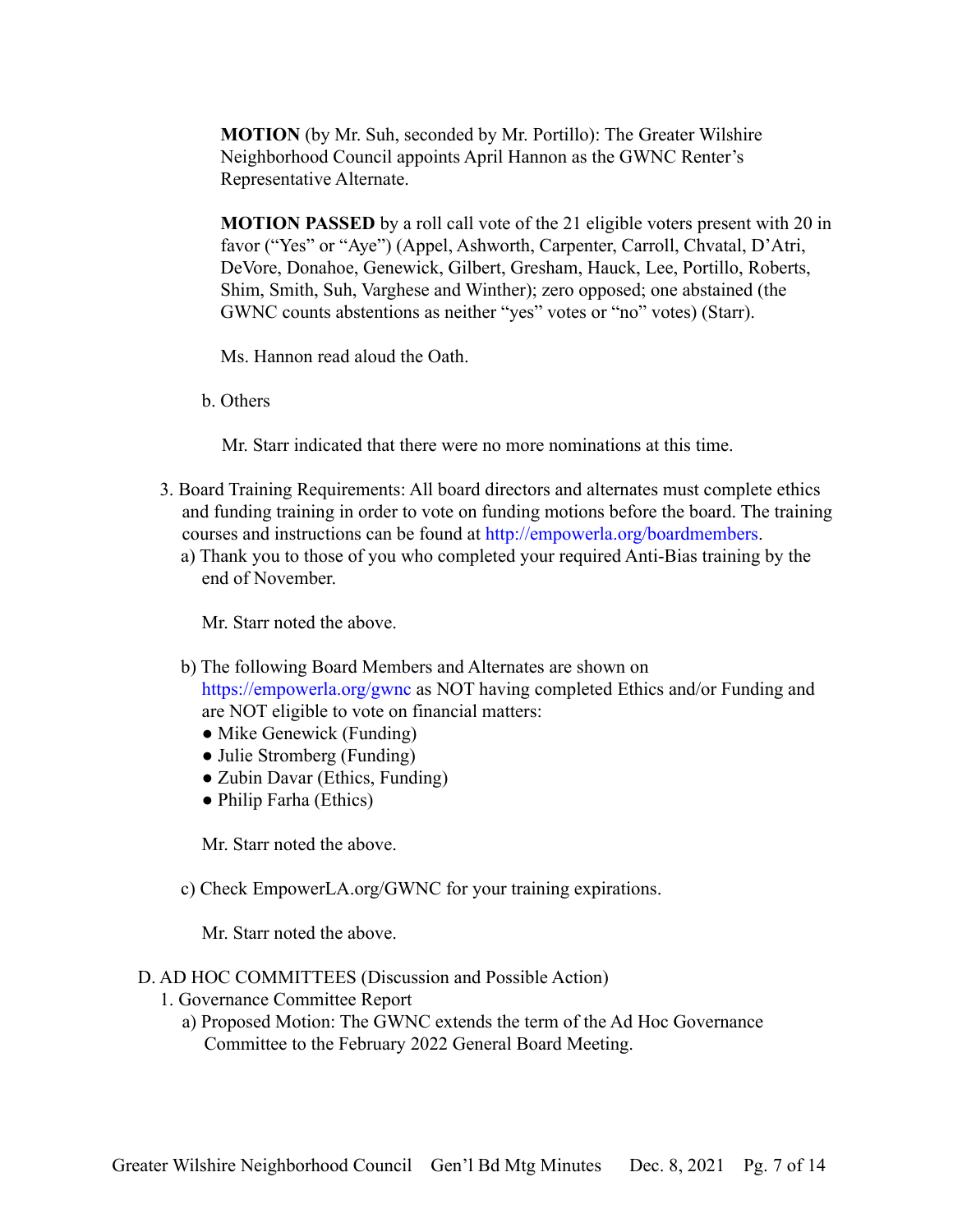**MOTION** (by Mr. Suh, seconded by Mr. Portillo): The Greater Wilshire Neighborhood Council appoints April Hannon as the GWNC Renter's Representative Alternate.

**MOTION PASSED** by a roll call vote of the 21 eligible voters present with 20 in favor ("Yes" or "Aye") (Appel, Ashworth, Carpenter, Carroll, Chvatal, D'Atri, DeVore, Donahoe, Genewick, Gilbert, Gresham, Hauck, Lee, Portillo, Roberts, Shim, Smith, Suh, Varghese and Winther); zero opposed; one abstained (the GWNC counts abstentions as neither "yes" votes or "no" votes) (Starr).

Ms. Hannon read aloud the Oath.

b. Others

Mr. Starr indicated that there were no more nominations at this time.

- 3. Board Training Requirements: All board directors and alternates must complete ethics and funding training in order to vote on funding motions before the board. The training courses and instructions can be found at <http://empowerla.org/boardmembers>.
	- a) Thank you to those of you who completed your required Anti-Bias training by the end of November.

Mr. Starr noted the above.

- b) The following Board Members and Alternates are shown on <https://empowerla.org/gwnc> as NOT having completed Ethics and/or Funding and are NOT eligible to vote on financial matters:
	- Mike Genewick (Funding)
	- Julie Stromberg (Funding)
	- Zubin Davar (Ethics, Funding)
	- Philip Farha (Ethics)

Mr. Starr noted the above.

c) Check EmpowerLA.org/GWNC for your training expirations.

Mr. Starr noted the above.

#### D. AD HOC COMMITTEES (Discussion and Possible Action)

- 1. Governance Committee Report
	- a) Proposed Motion: The GWNC extends the term of the Ad Hoc Governance Committee to the February 2022 General Board Meeting.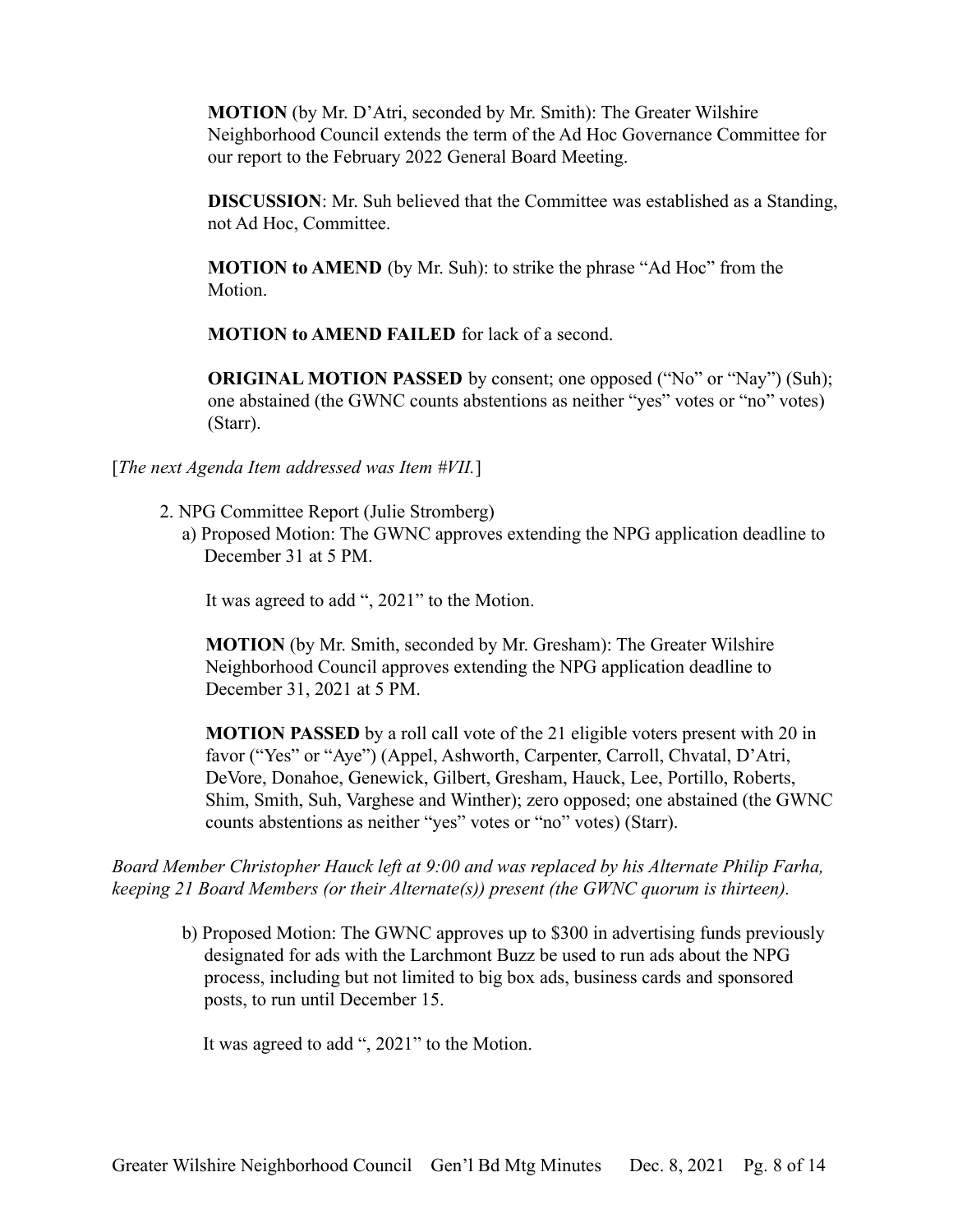**MOTION** (by Mr. D'Atri, seconded by Mr. Smith): The Greater Wilshire Neighborhood Council extends the term of the Ad Hoc Governance Committee for our report to the February 2022 General Board Meeting.

**DISCUSSION**: Mr. Suh believed that the Committee was established as a Standing, not Ad Hoc, Committee.

**MOTION to AMEND** (by Mr. Suh): to strike the phrase "Ad Hoc" from the **Motion** 

**MOTION to AMEND FAILED** for lack of a second.

**ORIGINAL MOTION PASSED** by consent; one opposed ("No" or "Nay") (Suh); one abstained (the GWNC counts abstentions as neither "yes" votes or "no" votes) (Starr).

[*The next Agenda Item addressed was Item #VII.*]

- 2. NPG Committee Report (Julie Stromberg)
	- a) Proposed Motion: The GWNC approves extending the NPG application deadline to December 31 at 5 PM.

It was agreed to add ", 2021" to the Motion.

**MOTION** (by Mr. Smith, seconded by Mr. Gresham): The Greater Wilshire Neighborhood Council approves extending the NPG application deadline to December 31, 2021 at 5 PM.

**MOTION PASSED** by a roll call vote of the 21 eligible voters present with 20 in favor ("Yes" or "Aye") (Appel, Ashworth, Carpenter, Carroll, Chvatal, D'Atri, DeVore, Donahoe, Genewick, Gilbert, Gresham, Hauck, Lee, Portillo, Roberts, Shim, Smith, Suh, Varghese and Winther); zero opposed; one abstained (the GWNC counts abstentions as neither "yes" votes or "no" votes) (Starr).

*Board Member Christopher Hauck left at 9:00 and was replaced by his Alternate Philip Farha, keeping 21 Board Members (or their Alternate(s)) present (the GWNC quorum is thirteen).*

b) Proposed Motion: The GWNC approves up to \$300 in advertising funds previously designated for ads with the Larchmont Buzz be used to run ads about the NPG process, including but not limited to big box ads, business cards and sponsored posts, to run until December 15.

It was agreed to add ", 2021" to the Motion.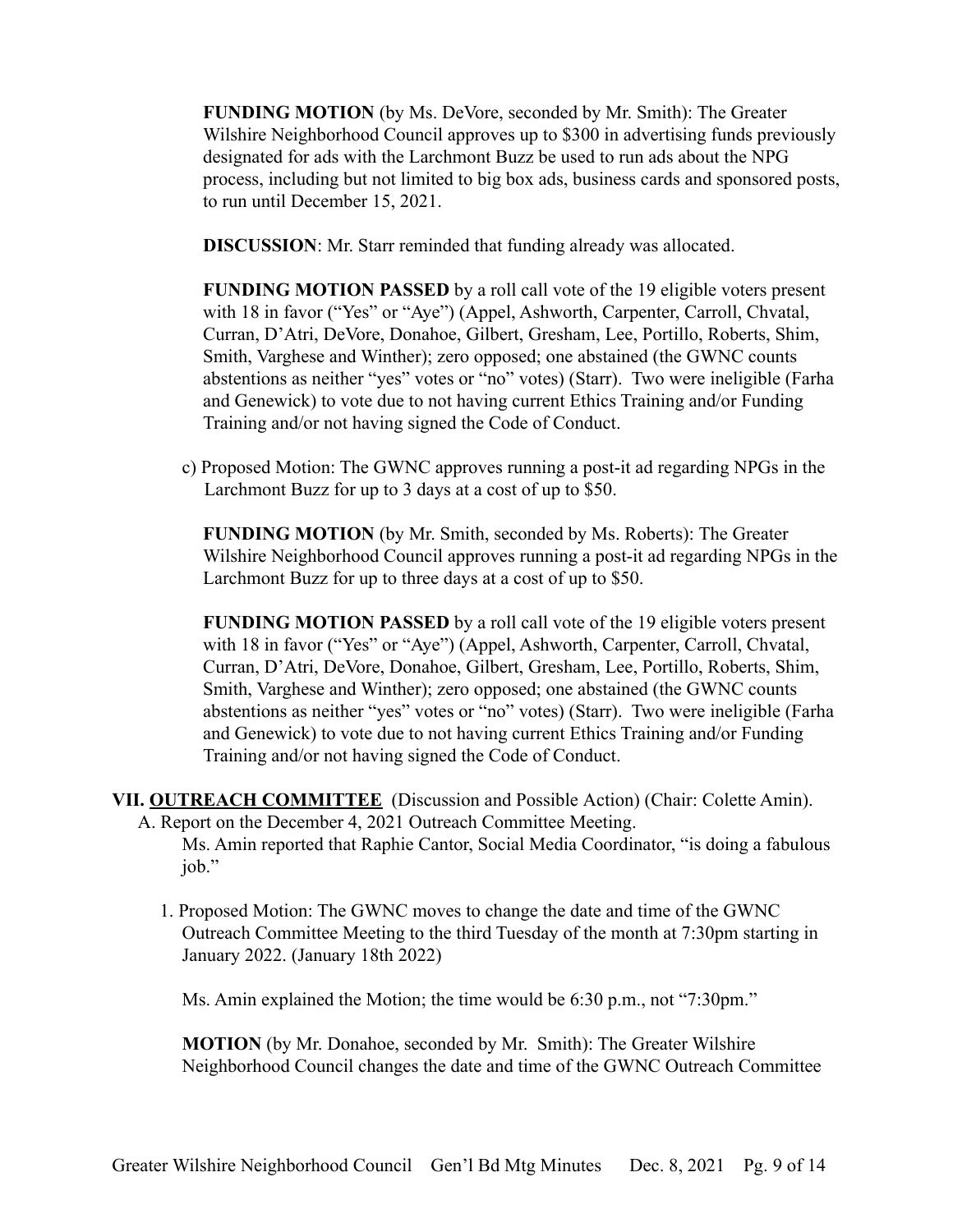**FUNDING MOTION** (by Ms. DeVore, seconded by Mr. Smith): The Greater Wilshire Neighborhood Council approves up to \$300 in advertising funds previously designated for ads with the Larchmont Buzz be used to run ads about the NPG process, including but not limited to big box ads, business cards and sponsored posts, to run until December 15, 2021.

**DISCUSSION**: Mr. Starr reminded that funding already was allocated.

**FUNDING MOTION PASSED** by a roll call vote of the 19 eligible voters present with 18 in favor ("Yes" or "Aye") (Appel, Ashworth, Carpenter, Carroll, Chvatal, Curran, D'Atri, DeVore, Donahoe, Gilbert, Gresham, Lee, Portillo, Roberts, Shim, Smith, Varghese and Winther); zero opposed; one abstained (the GWNC counts abstentions as neither "yes" votes or "no" votes) (Starr). Two were ineligible (Farha and Genewick) to vote due to not having current Ethics Training and/or Funding Training and/or not having signed the Code of Conduct.

c) Proposed Motion: The GWNC approves running a post-it ad regarding NPGs in the Larchmont Buzz for up to 3 days at a cost of up to \$50.

**FUNDING MOTION** (by Mr. Smith, seconded by Ms. Roberts): The Greater Wilshire Neighborhood Council approves running a post-it ad regarding NPGs in the Larchmont Buzz for up to three days at a cost of up to \$50.

**FUNDING MOTION PASSED** by a roll call vote of the 19 eligible voters present with 18 in favor ("Yes" or "Aye") (Appel, Ashworth, Carpenter, Carroll, Chvatal, Curran, D'Atri, DeVore, Donahoe, Gilbert, Gresham, Lee, Portillo, Roberts, Shim, Smith, Varghese and Winther); zero opposed; one abstained (the GWNC counts abstentions as neither "yes" votes or "no" votes) (Starr). Two were ineligible (Farha and Genewick) to vote due to not having current Ethics Training and/or Funding Training and/or not having signed the Code of Conduct.

# **VII. OUTREACH COMMITTEE** (Discussion and Possible Action) (Chair: Colette Amin).

- A. Report on the December 4, 2021 Outreach Committee Meeting. Ms. Amin reported that Raphie Cantor, Social Media Coordinator, "is doing a fabulous job."
	- 1. Proposed Motion: The GWNC moves to change the date and time of the GWNC Outreach Committee Meeting to the third Tuesday of the month at 7:30pm starting in January 2022. (January 18th 2022)

Ms. Amin explained the Motion; the time would be 6:30 p.m., not "7:30pm."

**MOTION** (by Mr. Donahoe, seconded by Mr. Smith): The Greater Wilshire Neighborhood Council changes the date and time of the GWNC Outreach Committee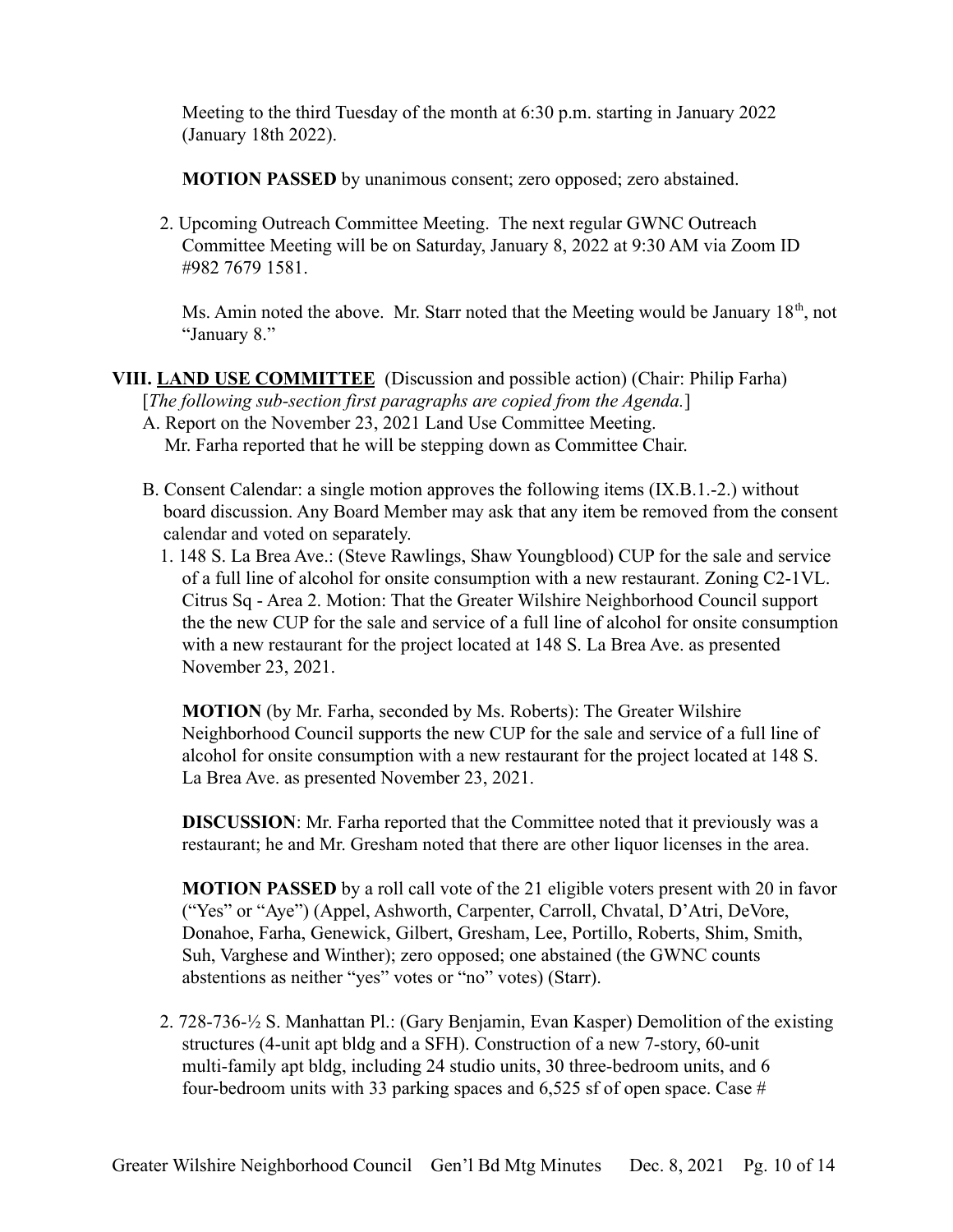Meeting to the third Tuesday of the month at 6:30 p.m. starting in January 2022 (January 18th 2022).

**MOTION PASSED** by unanimous consent; zero opposed; zero abstained.

2. Upcoming Outreach Committee Meeting. The next regular GWNC Outreach Committee Meeting will be on Saturday, January 8, 2022 at 9:30 AM via Zoom ID #982 7679 1581.

Ms. Amin noted the above. Mr. Starr noted that the Meeting would be January  $18<sup>th</sup>$ , not "January 8."

# **VIII. LAND USE COMMITTEE** (Discussion and possible action) (Chair: Philip Farha)

[*The following sub-section first paragraphs are copied from the Agenda.*]

- A. Report on the November 23, 2021 Land Use Committee Meeting. Mr. Farha reported that he will be stepping down as Committee Chair.
- B. Consent Calendar: a single motion approves the following items (IX.B.1.-2.) without board discussion. Any Board Member may ask that any item be removed from the consent calendar and voted on separately.
	- 1. 148 S. La Brea Ave.: (Steve Rawlings, Shaw Youngblood) CUP for the sale and service of a full line of alcohol for onsite consumption with a new restaurant. Zoning C2-1VL. Citrus Sq - Area 2. Motion: That the Greater Wilshire Neighborhood Council support the the new CUP for the sale and service of a full line of alcohol for onsite consumption with a new restaurant for the project located at 148 S. La Brea Ave. as presented November 23, 2021.

**MOTION** (by Mr. Farha, seconded by Ms. Roberts): The Greater Wilshire Neighborhood Council supports the new CUP for the sale and service of a full line of alcohol for onsite consumption with a new restaurant for the project located at 148 S. La Brea Ave. as presented November 23, 2021.

**DISCUSSION**: Mr. Farha reported that the Committee noted that it previously was a restaurant; he and Mr. Gresham noted that there are other liquor licenses in the area.

**MOTION PASSED** by a roll call vote of the 21 eligible voters present with 20 in favor ("Yes" or "Aye") (Appel, Ashworth, Carpenter, Carroll, Chvatal, D'Atri, DeVore, Donahoe, Farha, Genewick, Gilbert, Gresham, Lee, Portillo, Roberts, Shim, Smith, Suh, Varghese and Winther); zero opposed; one abstained (the GWNC counts abstentions as neither "yes" votes or "no" votes) (Starr).

2. 728-736-½ S. Manhattan Pl.: (Gary Benjamin, Evan Kasper) Demolition of the existing structures (4-unit apt bldg and a SFH). Construction of a new 7-story, 60-unit multi-family apt bldg, including 24 studio units, 30 three-bedroom units, and 6 four-bedroom units with 33 parking spaces and 6,525 sf of open space. Case  $#$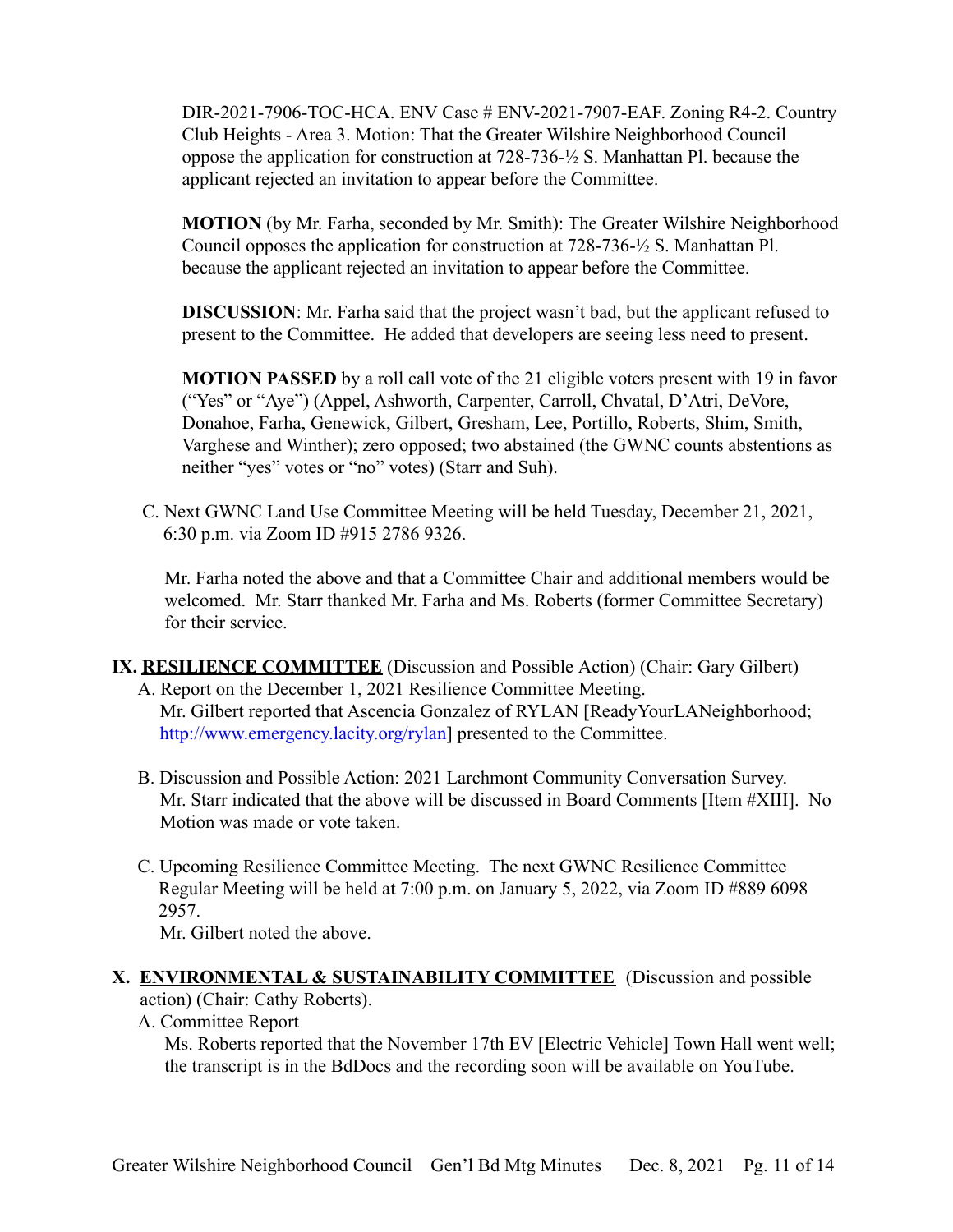DIR-2021-7906-TOC-HCA. ENV Case # ENV-2021-7907-EAF. Zoning R4-2. Country Club Heights - Area 3. Motion: That the Greater Wilshire Neighborhood Council oppose the application for construction at 728-736-½ S. Manhattan Pl. because the applicant rejected an invitation to appear before the Committee.

**MOTION** (by Mr. Farha, seconded by Mr. Smith): The Greater Wilshire Neighborhood Council opposes the application for construction at 728-736-½ S. Manhattan Pl. because the applicant rejected an invitation to appear before the Committee.

**DISCUSSION**: Mr. Farha said that the project wasn't bad, but the applicant refused to present to the Committee. He added that developers are seeing less need to present.

**MOTION PASSED** by a roll call vote of the 21 eligible voters present with 19 in favor ("Yes" or "Aye") (Appel, Ashworth, Carpenter, Carroll, Chvatal, D'Atri, DeVore, Donahoe, Farha, Genewick, Gilbert, Gresham, Lee, Portillo, Roberts, Shim, Smith, Varghese and Winther); zero opposed; two abstained (the GWNC counts abstentions as neither "yes" votes or "no" votes) (Starr and Suh).

C. Next GWNC Land Use Committee Meeting will be held Tuesday, December 21, 2021, 6:30 p.m. via Zoom ID #915 2786 9326.

Mr. Farha noted the above and that a Committee Chair and additional members would be welcomed. Mr. Starr thanked Mr. Farha and Ms. Roberts (former Committee Secretary) for their service.

- **IX. RESILIENCE COMMITTEE** (Discussion and Possible Action) (Chair: Gary Gilbert)
	- A. Report on the December 1, 2021 Resilience Committee Meeting. Mr. Gilbert reported that Ascencia Gonzalez of RYLAN [ReadyYourLANeighborhood; [http://www.emergency.lacity.org/rylan\]](http://www.emergency.lacity.org/rylan) presented to the Committee.
	- B. Discussion and Possible Action: 2021 Larchmont Community Conversation Survey. Mr. Starr indicated that the above will be discussed in Board Comments [Item #XIII]. No Motion was made or vote taken.
	- C. Upcoming Resilience Committee Meeting. The next GWNC Resilience Committee Regular Meeting will be held at 7:00 p.m. on January 5, 2022, via Zoom ID #889 6098 2957.

Mr. Gilbert noted the above.

#### **X. ENVIRONMENTAL & SUSTAINABILITY COMMITTEE** (Discussion and possible action) (Chair: Cathy Roberts).

- 
- A. Committee Report

Ms. Roberts reported that the November 17th EV [Electric Vehicle] Town Hall went well; the transcript is in the BdDocs and the recording soon will be available on YouTube.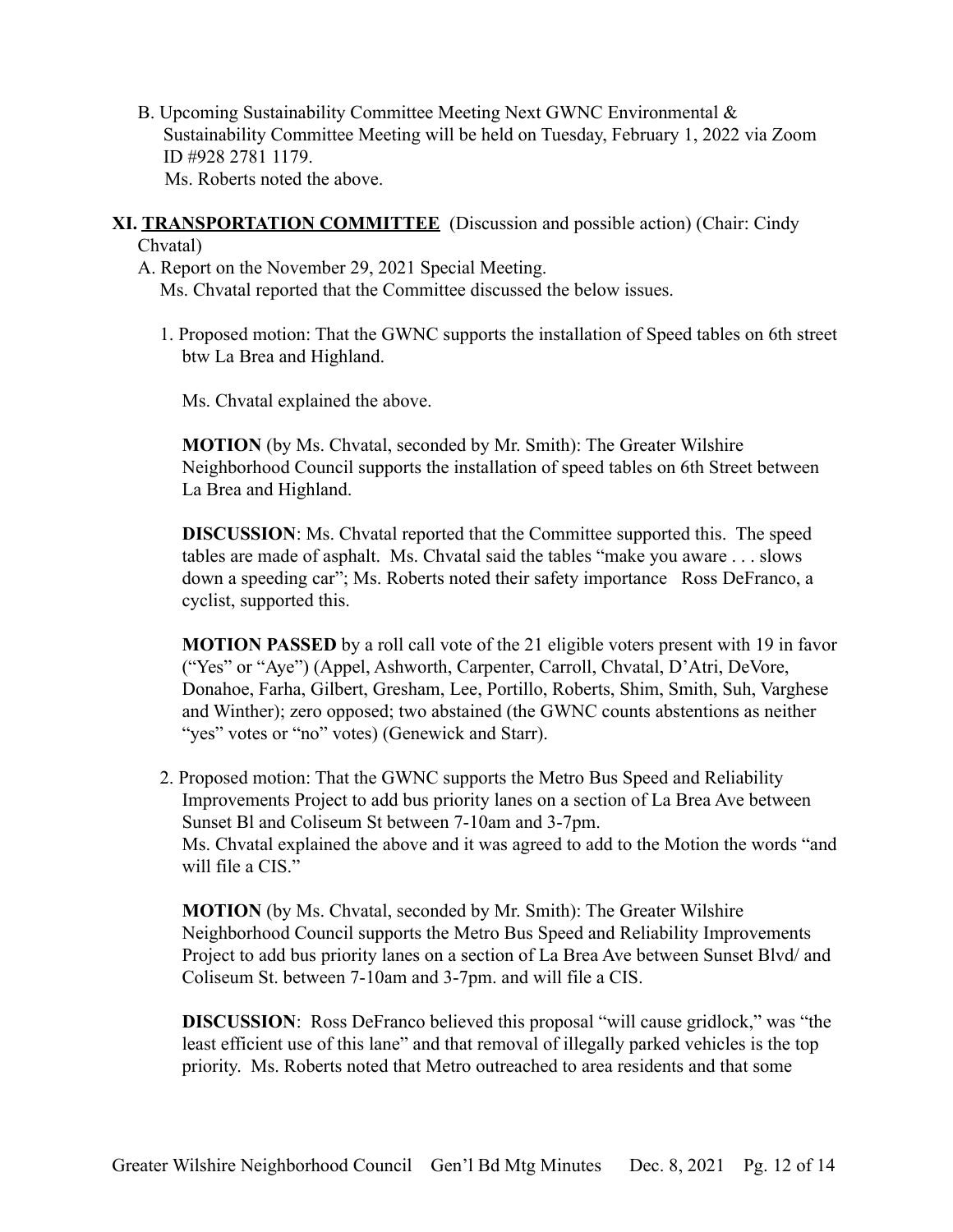- B. Upcoming Sustainability Committee Meeting Next GWNC Environmental & Sustainability Committee Meeting will be held on Tuesday, February 1, 2022 via Zoom ID #928 2781 1179. Ms. Roberts noted the above.
- **XI. TRANSPORTATION COMMITTEE** (Discussion and possible action) (Chair: Cindy Chvatal)

A. Report on the November 29, 2021 Special Meeting. Ms. Chvatal reported that the Committee discussed the below issues.

1. Proposed motion: That the GWNC supports the installation of Speed tables on 6th street btw La Brea and Highland.

Ms. Chvatal explained the above.

**MOTION** (by Ms. Chvatal, seconded by Mr. Smith): The Greater Wilshire Neighborhood Council supports the installation of speed tables on 6th Street between La Brea and Highland.

**DISCUSSION**: Ms. Chvatal reported that the Committee supported this. The speed tables are made of asphalt. Ms. Chvatal said the tables "make you aware . . . slows down a speeding car"; Ms. Roberts noted their safety importance Ross DeFranco, a cyclist, supported this.

**MOTION PASSED** by a roll call vote of the 21 eligible voters present with 19 in favor ("Yes" or "Aye") (Appel, Ashworth, Carpenter, Carroll, Chvatal, D'Atri, DeVore, Donahoe, Farha, Gilbert, Gresham, Lee, Portillo, Roberts, Shim, Smith, Suh, Varghese and Winther); zero opposed; two abstained (the GWNC counts abstentions as neither "yes" votes or "no" votes) (Genewick and Starr).

2. Proposed motion: That the GWNC supports the Metro Bus Speed and Reliability Improvements Project to add bus priority lanes on a section of La Brea Ave between Sunset Bl and Coliseum St between 7-10am and 3-7pm. Ms. Chvatal explained the above and it was agreed to add to the Motion the words "and will file a CIS."

**MOTION** (by Ms. Chvatal, seconded by Mr. Smith): The Greater Wilshire Neighborhood Council supports the Metro Bus Speed and Reliability Improvements Project to add bus priority lanes on a section of La Brea Ave between Sunset Blvd/ and Coliseum St. between 7-10am and 3-7pm. and will file a CIS.

**DISCUSSION:** Ross DeFranco believed this proposal "will cause gridlock," was "the least efficient use of this lane" and that removal of illegally parked vehicles is the top priority. Ms. Roberts noted that Metro outreached to area residents and that some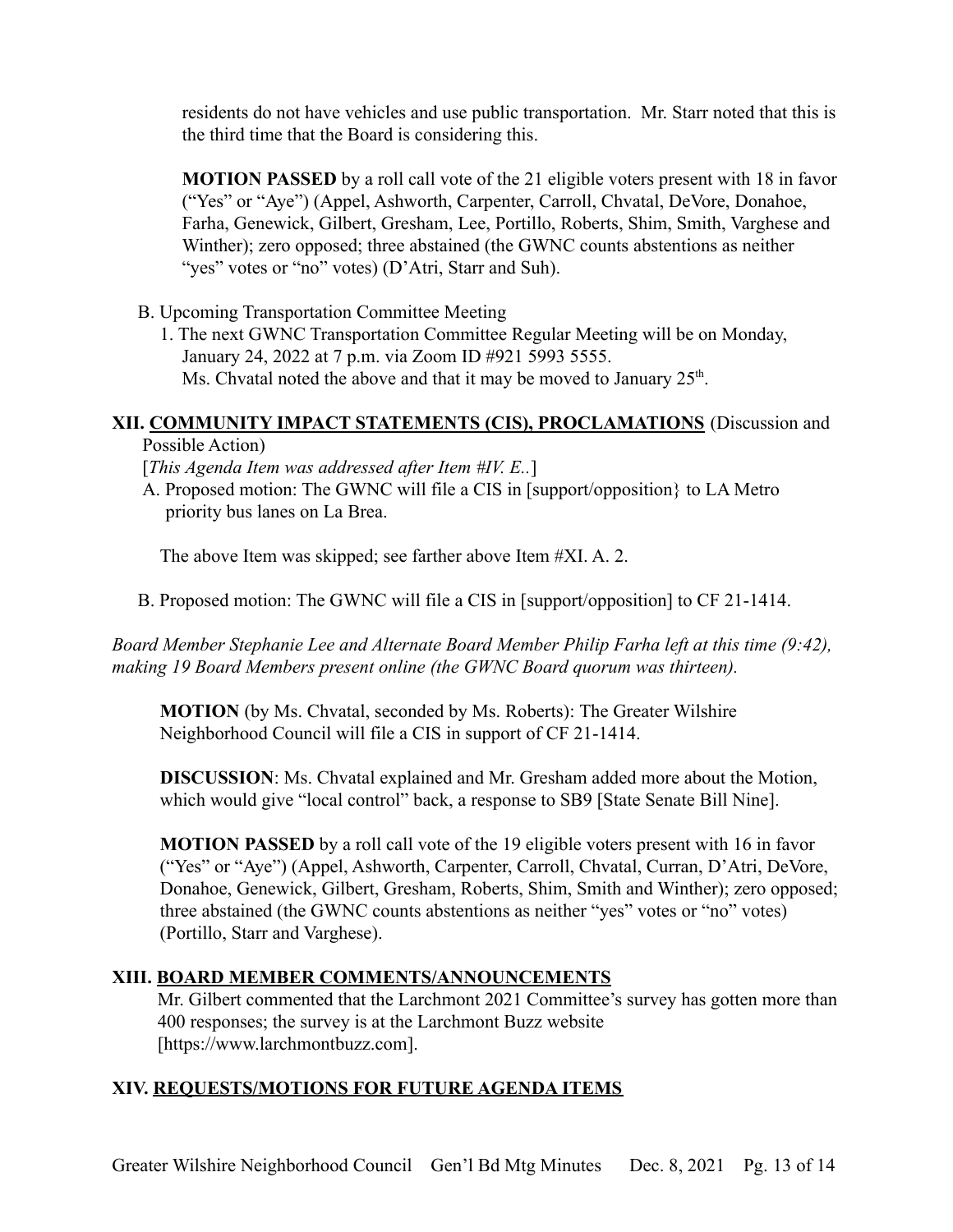residents do not have vehicles and use public transportation. Mr. Starr noted that this is the third time that the Board is considering this.

**MOTION PASSED** by a roll call vote of the 21 eligible voters present with 18 in favor ("Yes" or "Aye") (Appel, Ashworth, Carpenter, Carroll, Chvatal, DeVore, Donahoe, Farha, Genewick, Gilbert, Gresham, Lee, Portillo, Roberts, Shim, Smith, Varghese and Winther); zero opposed; three abstained (the GWNC counts abstentions as neither "yes" votes or "no" votes) (D'Atri, Starr and Suh).

B. Upcoming Transportation Committee Meeting

1. The next GWNC Transportation Committee Regular Meeting will be on Monday, January 24, 2022 at 7 p.m. via Zoom ID #921 5993 5555. Ms. Chvatal noted the above and that it may be moved to January  $25<sup>th</sup>$ .

## **XII. COMMUNITY IMPACT STATEMENTS (CIS), PROCLAMATIONS** (Discussion and

Possible Action)

[*This Agenda Item was addressed after Item #IV. E..*]

A. Proposed motion: The GWNC will file a CIS in [support/opposition} to LA Metro priority bus lanes on La Brea.

The above Item was skipped; see farther above Item #XI. A. 2.

B. Proposed motion: The GWNC will file a CIS in [support/opposition] to CF 21-1414.

*Board Member Stephanie Lee and Alternate Board Member Philip Farha left at this time (9:42), making 19 Board Members present online (the GWNC Board quorum was thirteen).*

**MOTION** (by Ms. Chvatal, seconded by Ms. Roberts): The Greater Wilshire Neighborhood Council will file a CIS in support of CF 21-1414.

**DISCUSSION**: Ms. Chvatal explained and Mr. Gresham added more about the Motion, which would give "local control" back, a response to SB9 [State Senate Bill Nine].

**MOTION PASSED** by a roll call vote of the 19 eligible voters present with 16 in favor ("Yes" or "Aye") (Appel, Ashworth, Carpenter, Carroll, Chvatal, Curran, D'Atri, DeVore, Donahoe, Genewick, Gilbert, Gresham, Roberts, Shim, Smith and Winther); zero opposed; three abstained (the GWNC counts abstentions as neither "yes" votes or "no" votes) (Portillo, Starr and Varghese).

## **XIII. BOARD MEMBER COMMENTS/ANNOUNCEMENTS**

Mr. Gilbert commented that the Larchmont 2021 Committee's survey has gotten more than 400 responses; the survey is at the Larchmont Buzz website [https://www.larchmontbuzz.com].

# **XIV. REQUESTS/MOTIONS FOR FUTURE AGENDA ITEMS**